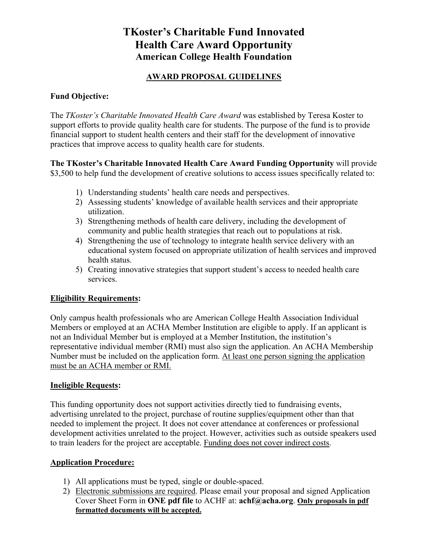## **TKoster's Charitable Fund Innovated Health Care Award Opportunity American College Health Foundation**

## **AWARD PROPOSAL GUIDELINES**

## **Fund Objective:**

The *TKoster's Charitable Innovated Health Care Award* was established by Teresa Koster to support efforts to provide quality health care for students. The purpose of the fund is to provide financial support to student health centers and their staff for the development of innovative practices that improve access to quality health care for students.

**The TKoster's Charitable Innovated Health Care Award Funding Opportunity** will provide \$3,500 to help fund the development of creative solutions to access issues specifically related to:

- 1) Understanding students' health care needs and perspectives.
- 2) Assessing students' knowledge of available health services and their appropriate utilization.
- 3) Strengthening methods of health care delivery, including the development of community and public health strategies that reach out to populations at risk.
- 4) Strengthening the use of technology to integrate health service delivery with an educational system focused on appropriate utilization of health services and improved health status.
- 5) Creating innovative strategies that support student's access to needed health care services.

## **Eligibility Requirements:**

Only campus health professionals who are American College Health Association Individual Members or employed at an ACHA Member Institution are eligible to apply. If an applicant is not an Individual Member but is employed at a Member Institution, the institution's representative individual member (RMI) must also sign the application. An ACHA Membership Number must be included on the application form. At least one person signing the application must be an ACHA member or RMI.

## **Ineligible Requests:**

This funding opportunity does not support activities directly tied to fundraising events, advertising unrelated to the project, purchase of routine supplies/equipment other than that needed to implement the project. It does not cover attendance at conferences or professional development activities unrelated to the project. However, activities such as outside speakers used to train leaders for the project are acceptable. Funding does not cover indirect costs.

## **Application Procedure:**

- 1) All applications must be typed, single or double-spaced.
- 2) Electronic submissions are required. Please email your proposal and signed Application Cover Sheet Form in **ONE pdf file** to ACHF at: **achf@acha.org**. **Only proposals in pdf formatted documents will be accepted.**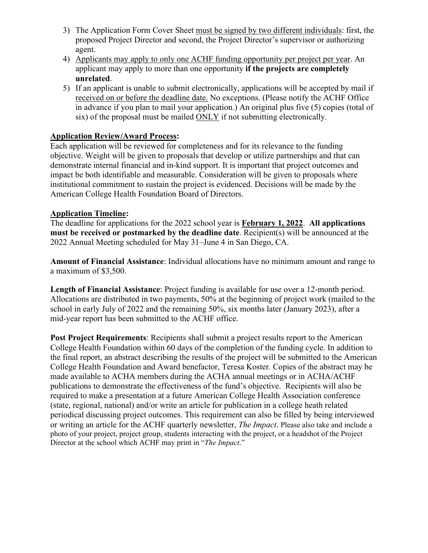- 3) The Application Form Cover Sheet must be signed by two different individuals: first, the proposed Project Director and second, the Project Director's supervisor or authorizing agent.
- 4) Applicants may apply to only one ACHF funding opportunity per project per year. An applicant may apply to more than one opportunity **if the projects are completely unrelated**.
- 5) If an applicant is unable to submit electronically, applications will be accepted by mail if received on or before the deadline date. No exceptions. (Please notify the ACHF Office in advance if you plan to mail your application.) An original plus five (5) copies (total of six) of the proposal must be mailed ONLY if not submitting electronically.

## **Application Review/Award Process:**

Each application will be reviewed for completeness and for its relevance to the funding objective. Weight will be given to proposals that develop or utilize partnerships and that can demonstrate internal financial and in-kind support. It is important that project outcomes and impact be both identifiable and measurable. Consideration will be given to proposals where institutional commitment to sustain the project is evidenced. Decisions will be made by the American College Health Foundation Board of Directors.

## **Application Timeline:**

The deadline for applications for the 2022 school year is **February 1, 2022**. **All applications must be received or postmarked by the deadline date**. Recipient(s) will be announced at the 2022 Annual Meeting scheduled for May 31–June 4 in San Diego, CA.

**Amount of Financial Assistance**: Individual allocations have no minimum amount and range to a maximum of \$3,500.

**Length of Financial Assistance**: Project funding is available for use over a 12-month period. Allocations are distributed in two payments, 50% at the beginning of project work (mailed to the school in early July of 2022 and the remaining 50%, six months later (January 2023), after a mid-year report has been submitted to the ACHF office.

**Post Project Requirements**: Recipients shall submit a project results report to the American College Health Foundation within 60 days of the completion of the funding cycle. In addition to the final report, an abstract describing the results of the project will be submitted to the American College Health Foundation and Award benefactor, Teresa Koster. Copies of the abstract may be made available to ACHA members during the ACHA annual meetings or in ACHA/ACHF publications to demonstrate the effectiveness of the fund's objective. Recipients will also be required to make a presentation at a future American College Health Association conference (state, regional, national) and/or write an article for publication in a college heath related periodical discussing project outcomes. This requirement can also be filled by being interviewed or writing an article for the ACHF quarterly newsletter, *The Impact*. Please also take and include a photo of your project, project group, students interacting with the project, or a headshot of the Project Director at the school which ACHF may print in "*The Impact*."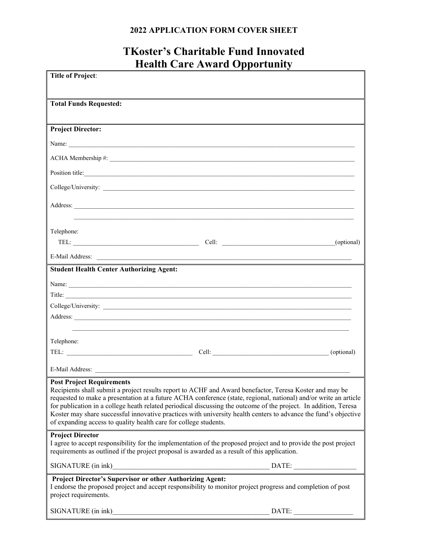## **2022 APPLICATION FORM COVER SHEET**

# **TKoster's Charitable Fund Innovated Health Care Award Opportunity**

| <b>Title of Project:</b>                                                                                                                                                                                                                                                                                                                                                                                                                                                                                                                                                   |
|----------------------------------------------------------------------------------------------------------------------------------------------------------------------------------------------------------------------------------------------------------------------------------------------------------------------------------------------------------------------------------------------------------------------------------------------------------------------------------------------------------------------------------------------------------------------------|
|                                                                                                                                                                                                                                                                                                                                                                                                                                                                                                                                                                            |
| <b>Total Funds Requested:</b>                                                                                                                                                                                                                                                                                                                                                                                                                                                                                                                                              |
|                                                                                                                                                                                                                                                                                                                                                                                                                                                                                                                                                                            |
| <b>Project Director:</b>                                                                                                                                                                                                                                                                                                                                                                                                                                                                                                                                                   |
| Name: Name and the same of the same of the same of the same of the same of the same of the same of the same of the same of the same of the same of the same of the same of the same of the same of the same of the same of the                                                                                                                                                                                                                                                                                                                                             |
|                                                                                                                                                                                                                                                                                                                                                                                                                                                                                                                                                                            |
| Position title:                                                                                                                                                                                                                                                                                                                                                                                                                                                                                                                                                            |
|                                                                                                                                                                                                                                                                                                                                                                                                                                                                                                                                                                            |
| Address:                                                                                                                                                                                                                                                                                                                                                                                                                                                                                                                                                                   |
|                                                                                                                                                                                                                                                                                                                                                                                                                                                                                                                                                                            |
| Telephone:                                                                                                                                                                                                                                                                                                                                                                                                                                                                                                                                                                 |
| (optional)                                                                                                                                                                                                                                                                                                                                                                                                                                                                                                                                                                 |
|                                                                                                                                                                                                                                                                                                                                                                                                                                                                                                                                                                            |
| <b>Student Health Center Authorizing Agent:</b>                                                                                                                                                                                                                                                                                                                                                                                                                                                                                                                            |
|                                                                                                                                                                                                                                                                                                                                                                                                                                                                                                                                                                            |
| Title:                                                                                                                                                                                                                                                                                                                                                                                                                                                                                                                                                                     |
|                                                                                                                                                                                                                                                                                                                                                                                                                                                                                                                                                                            |
|                                                                                                                                                                                                                                                                                                                                                                                                                                                                                                                                                                            |
| Telephone:                                                                                                                                                                                                                                                                                                                                                                                                                                                                                                                                                                 |
| (optional)                                                                                                                                                                                                                                                                                                                                                                                                                                                                                                                                                                 |
|                                                                                                                                                                                                                                                                                                                                                                                                                                                                                                                                                                            |
|                                                                                                                                                                                                                                                                                                                                                                                                                                                                                                                                                                            |
| <b>Post Project Requirements</b><br>Recipients shall submit a project results report to ACHF and Award benefactor, Teresa Koster and may be<br>requested to make a presentation at a future ACHA conference (state, regional, national) and/or write an article<br>for publication in a college heath related periodical discussing the outcome of the project. In addition, Teresa<br>Koster may share successful innovative practices with university health centers to advance the fund's objective<br>of expanding access to quality health care for college students. |
| <b>Project Director</b><br>I agree to accept responsibility for the implementation of the proposed project and to provide the post project<br>requirements as outlined if the project proposal is awarded as a result of this application.                                                                                                                                                                                                                                                                                                                                 |
|                                                                                                                                                                                                                                                                                                                                                                                                                                                                                                                                                                            |
| Project Director's Supervisor or other Authorizing Agent:<br>I endorse the proposed project and accept responsibility to monitor project progress and completion of post<br>project requirements.                                                                                                                                                                                                                                                                                                                                                                          |
| SIGNATURE (in ink)<br>DATE:<br><u> 1989 - Johann Barbara, martin amerikan basar da</u>                                                                                                                                                                                                                                                                                                                                                                                                                                                                                     |